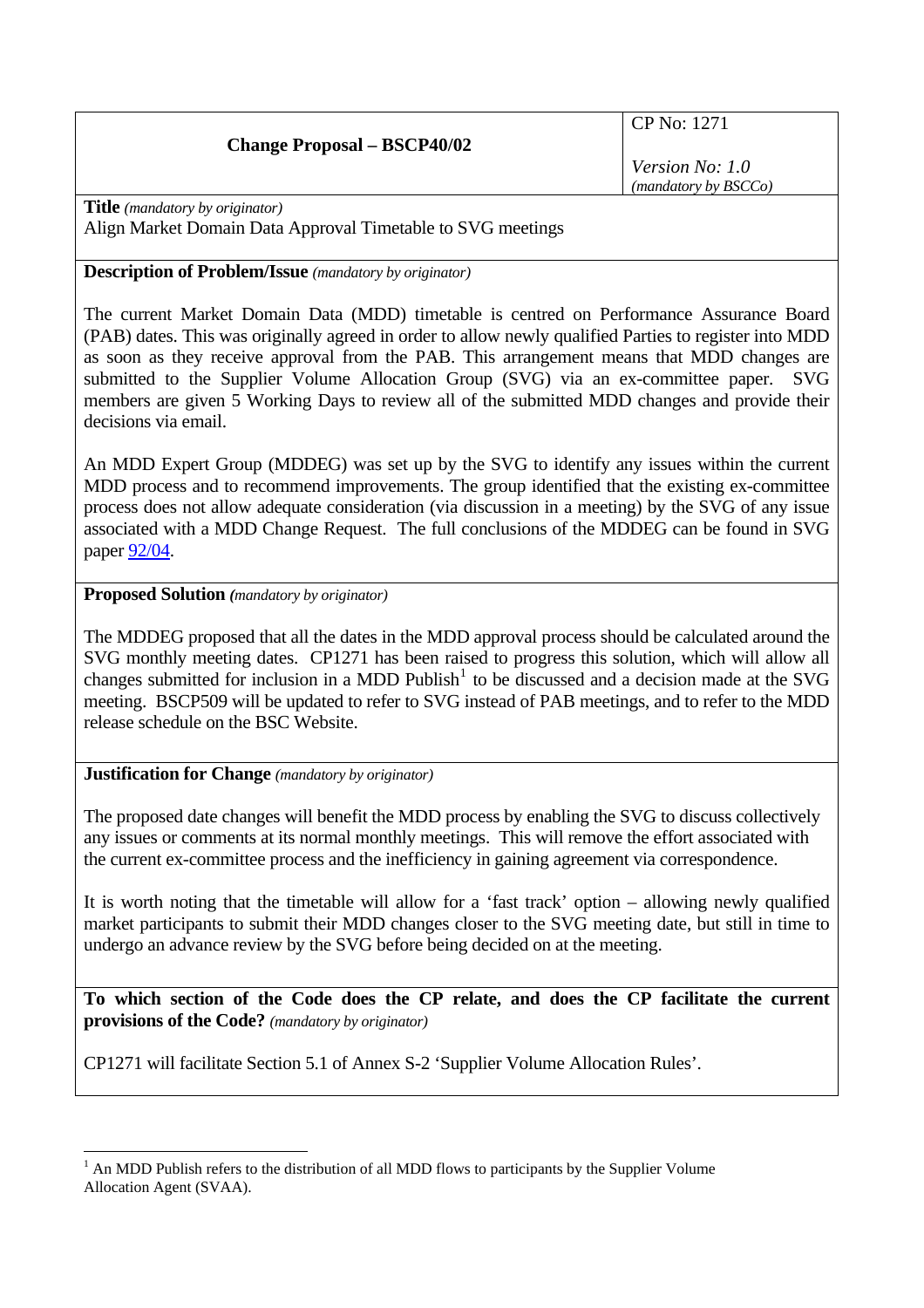# **Change Proposal – BSCP40/02**

CP No: 1271

*Version No: 1.0 (mandatory by BSCCo)*

**Title** *(mandatory by originator)*  Align Market Domain Data Approval Timetable to SVG meetings

# **Description of Problem/Issue** *(mandatory by originator)*

The current Market Domain Data (MDD) timetable is centred on Performance Assurance Board (PAB) dates. This was originally agreed in order to allow newly qualified Parties to register into MDD as soon as they receive approval from the PAB. This arrangement means that MDD changes are submitted to the Supplier Volume Allocation Group (SVG) via an ex-committee paper. SVG members are given 5 Working Days to review all of the submitted MDD changes and provide their decisions via email.

An MDD Expert Group (MDDEG) was set up by the SVG to identify any issues within the current MDD process and to recommend improvements. The group identified that the existing ex-committee process does not allow adequate consideration (via discussion in a meeting) by the SVG of any issue associated with a MDD Change Request. The full conclusions of the MDDEG can be found in SVG paper [92/04](http://www.elexon.co.uk/documents/BSC_Panel_and_Panel_Committees/SVG_Meeting_2008_-_092_-_Papers/SVG92_04_Recommendations_of_MDD_Expert_Group_Review_Final.pdf).

# **Proposed Solution** *(mandatory by originator)*

The MDDEG proposed that all the dates in the MDD approval process should be calculated around the SVG monthly meeting dates. CP1271 has been raised to progress this solution, which will allow all changes submitted for inclusion in a MDD Publish<sup>[1](#page-0-0)</sup> to be discussed and a decision made at the SVG meeting. BSCP509 will be updated to refer to SVG instead of PAB meetings, and to refer to the MDD release schedule on the BSC Website.

### **Justification for Change** *(mandatory by originator)*

The proposed date changes will benefit the MDD process by enabling the SVG to discuss collectively any issues or comments at its normal monthly meetings. This will remove the effort associated with the current ex-committee process and the inefficiency in gaining agreement via correspondence.

It is worth noting that the timetable will allow for a 'fast track' option – allowing newly qualified market participants to submit their MDD changes closer to the SVG meeting date, but still in time to undergo an advance review by the SVG before being decided on at the meeting.

**To which section of the Code does the CP relate, and does the CP facilitate the current provisions of the Code?** *(mandatory by originator)* 

CP1271 will facilitate Section 5.1 of Annex S-2 'Supplier Volume Allocation Rules'.

<span id="page-0-0"></span> $\overline{a}$  $<sup>1</sup>$  An MDD Publish refers to the distribution of all MDD flows to participants by the Supplier Volume</sup> Allocation Agent (SVAA).